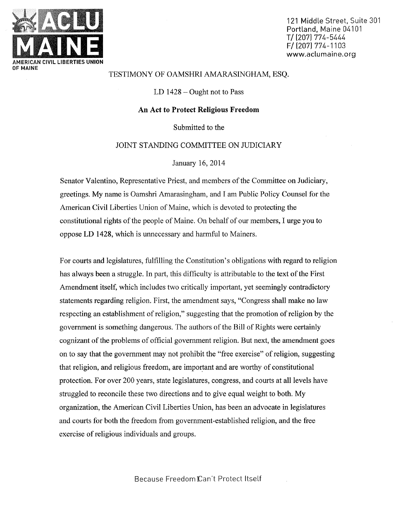

121 Middle Street, Suite 301 Portland, Maine 04101 T/ (2071 774-5444 F/ (2071 774-1103 www.aclumaine.org

## TESTIMONY OF OAMSHRI AMARASINGHAM, ESQ.

LD  $1428 -$ Ought not to Pass

## An Act to Protect Religious Freedom

Submitted to the

## JOINT STANDING COMMITTEE ON JUDICIARY

## January 16, 2014

Senator Valentino, Representative Priest, and members of the Committee on Judiciary, greetings. My name is Oamshri Amarasingham, and I am Public Policy Counsel for the American Civil Liberties Union of Maine, which is devoted to protecting the constitutional rights of the people of Maine. On behalf of our members, I urge you to oppose LD 1428, which is unnecessary and harmful to Mainers.

For courts and legislatures, fulfilling the Constitution's obligations with regard to religion has always been a struggle. In part, this difficulty is attributable to the text of the First Amendment itself, which includes two critically important, yet seemingly contradictory statements regarding religion. First, the amendment says, "Congress shall make no law respecting an establishment of religion," suggesting that the promotion of religion by the government is something dangerous. The authors of the Bill of Rights were certainly cognizant of the problems of official government religion. But next, the amendment goes on to say that the government may not prohibit the "free exercise" of religion, suggesting that religion, and religious freedom, are important and are worthy of constitutional protection. For over 200 years, state legislatures, congress, and courts at all levels have struggled to reconcile these two directions and to give equal weight to both. My organization, the American Civil Liberties Union, has been an advocate in legislatures and courts for both the freedom from government-established religion, and the free exercise of religious individuals and groups.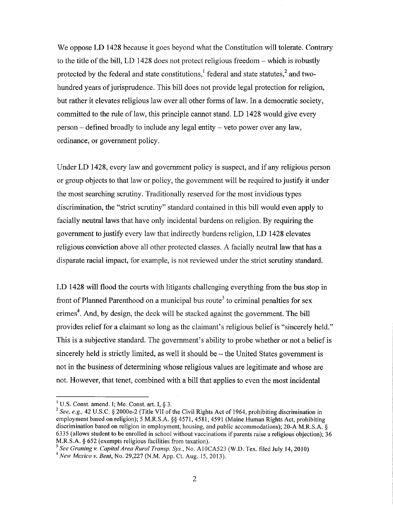We oppose LD 1428 because it goes beyond what the Constitution will tolerate. Contrary to the title of the bill, LD 1428 does not protect religious freedom  $-$  which is robustly protected by the federal and state constitutions, $<sup>1</sup>$  federal and state statutes, $<sup>2</sup>$  and two-</sup></sup> hundred years of jurisprudence. This bill does not provide legal protection for religion, but rather it elevates religious law over all other forms of law. In a democratic society, committed to the rule of law, this principle cannot stand. LD 1428 would give every  $person - defined broadly to include any legal entity - veto power over any law,$ ordinance, or government policy.

Under LD 1428, every law and government policy is suspect, and if any religious person or group objects to that law or policy, the government will be required to justify it under the most searching scrutiny. Traditionally reserved for the most invidious types discrimination, the "strict scrutiny" standard contained in this bill would even apply to facially neutral laws that have only incidental burdens on religion. By requiring the government to justify every law that indirectly burdens religion, LD 1428 elevates religious conviction above all other protected classes. A facially neutral law that has <sup>a</sup> disparate racial impact, for example, is not reviewed under the strict scrutiny standard.

LD 1428 will flood the courts with litigants challenging everything from the bus stop in front of Planned Parenthood on a municipal bus route<sup>3</sup> to criminal penalties for sex crimes<sup>4</sup>. And, by design, the deck will be stacked against the government. The bill provides relief for a claimant so long as the claimant's religious belief is "sincerely held." This is a subjective standard. The government's ability to probe whether or not a belief is sincerely held is strictly limited, as well it should be  $-$  the United States government is not in the business of determining whose religious values are legitimate and whose are not. However, that tenet, combined with a bill that applies to even the most incidental

U.S. Const. amend. I; Me. Const. art. I,  $\S$  3.

<sup>&</sup>lt;sup>2</sup> See, e.g., 42 U.S.C. § 2000e-2 (Title VII of the Civil Rights Act of 1964, prohibiting discrimination in employment based on religion); 5 M.R.S.A. §§ 4571, 4581, 4591 (Maine Human Rights Act, prohibiting discrimination based on religion in employment, housing, and public accommodations); 20-A M.R.S.A. § 6335 (allows student to be enrolled in school without vaccinations if parents raise a religious objection); 36 M.R.S.A. § 652 (exempts religious facilities from taxation).

<sup>&</sup>lt;sup>3</sup> See Graning v. Capital Area Rural Transp. Sys., No. A10CA523 (W.D. Tex. filed July 14, 2010)  $4$  New Mexico v. Bent, No. 29,227 (N.M. App. Ct. Aug. 15, 2013).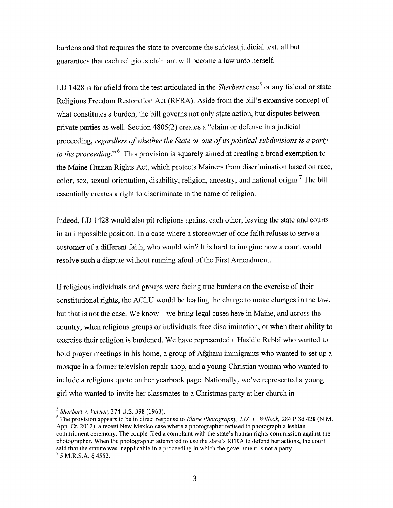burdens and that requires the state to overcome the strictest judicial test, all but guarantees that each religious claimant will become a law unto herself.

LD 1428 is far a field from the test articulated in the *Sherbert* case<sup>5</sup> or any federal or state Religious Freedom Restoration Act (RFRA). Aside from the bill's expansive concept of what constitutes a burden, the bill governs not only state action, but disputes between private parties as well. Section 4805(2) creates a "claim or defense in a judicial proceeding, regardless of whether the State or one of its political subdivisions is a party to the proceeding.<sup> $6$ </sup> This provision is squarely aimed at creating a broad exemption to the Maine Human Rights Act, which protects Mainers from discrimination based on race, color, sex, sexual orientation, disability, religion, ancestry, and national origin.7 The bill essentially creates a right to discriminate in the name of religion.

Indeed, LD 1428 would also pit religions against each other, leaving the state and courts in an impossible position. In a case where a storeowner of one faith refuses to serve a customer of a different faith, who would win? It is hard to imagine how a court would resolve such a dispute without running afoul of the First Amendment.

If religious individuals and groups were facing true burdens on the exercise of their constitutional rights, the ACLU would be leading the charge to make changes in the law, but that is not the case. We know—we bring legal cases here in Maine, and across the country, when religious groups or individuals face discrimination, or when their ability to exercise their religion is burdened. We have represented a Hasidic Rabbi who wanted to hold prayer meetings in his home, a group of Afghani immigrants who wanted to set up a mosque in a former television repair shop, and a young Christian woman who wanted to include a religious quote on her yearbook page. Nationally, we've represented a young girl who wanted to invite her classmates to a Christmas party at her church in

<sup>&</sup>lt;sup>3</sup> Sherbert v. Verner, 374 U.S. 398 (1963).

 $6$  The provision appears to be in direct response to *Elane Photography, LLC v. Willock*, 284 P.3d 428 (N.M.) App. Ct. 2012), a recent New Mexico case where a photographer refused to photograph a lesbian commitment ceremony. The couple filed a complaint with the state's human rights commission against the photographer. When the photographer attempted to use the state's RFRA to defend her actions, the court said that the statute was inapplicable in a proceeding in which the government is not a party.  $'$  5 M.R.S.A. § 4552.

<sup>3</sup>